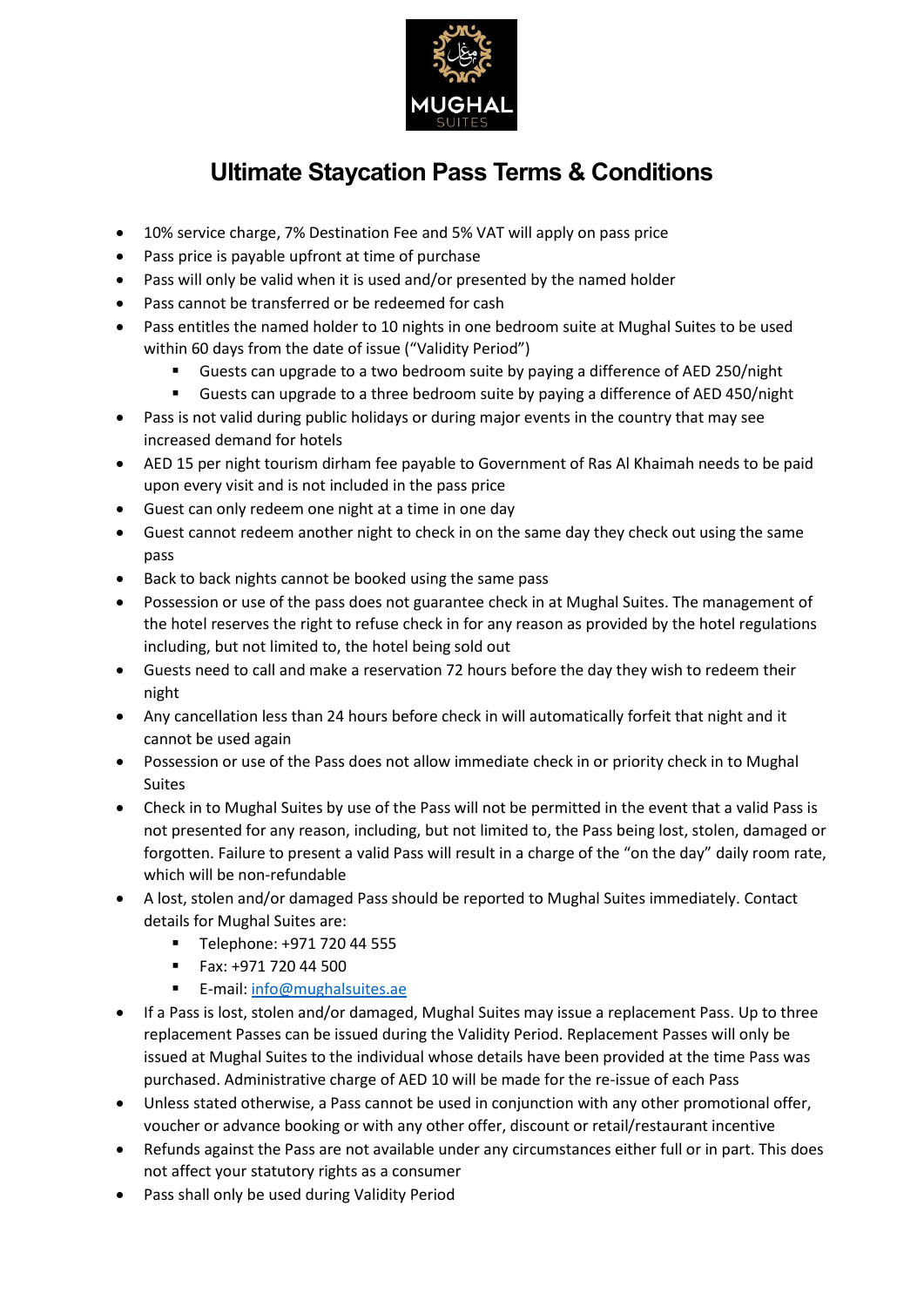

## **Ultimate Staycation Pass Terms & Conditions**

- 10% service charge, 7% Destination Fee and 5% VAT will apply on pass price
- Pass price is payable upfront at time of purchase
- Pass will only be valid when it is used and/or presented by the named holder
- Pass cannot be transferred or be redeemed for cash
- Pass entitles the named holder to 10 nights in one bedroom suite at Mughal Suites to be used within 60 days from the date of issue ("Validity Period")
	- Guests can upgrade to a two bedroom suite by paying a difference of AED 250/night
	- Guests can upgrade to a three bedroom suite by paying a difference of AED 450/night
- Pass is not valid during public holidays or during major events in the country that may see increased demand for hotels
- AED 15 per night tourism dirham fee payable to Government of Ras Al Khaimah needs to be paid upon every visit and is not included in the pass price
- Guest can only redeem one night at a time in one day
- Guest cannot redeem another night to check in on the same day they check out using the same pass
- Back to back nights cannot be booked using the same pass
- Possession or use of the pass does not guarantee check in at Mughal Suites. The management of the hotel reserves the right to refuse check in for any reason as provided by the hotel regulations including, but not limited to, the hotel being sold out
- Guests need to call and make a reservation 72 hours before the day they wish to redeem their night
- Any cancellation less than 24 hours before check in will automatically forfeit that night and it cannot be used again
- Possession or use of the Pass does not allow immediate check in or priority check in to Mughal Suites
- Check in to Mughal Suites by use of the Pass will not be permitted in the event that a valid Pass is not presented for any reason, including, but not limited to, the Pass being lost, stolen, damaged or forgotten. Failure to present a valid Pass will result in a charge of the "on the day" daily room rate, which will be non-refundable
- A lost, stolen and/or damaged Pass should be reported to Mughal Suites immediately. Contact details for Mughal Suites are:
	- Telephone: +971 720 44 555
	- Fax: +971 720 44 500
	- E-mail: [info@mughalsuites.ae](mailto:info@mughalsuites.ae)
- If a Pass is lost, stolen and/or damaged, Mughal Suites may issue a replacement Pass. Up to three replacement Passes can be issued during the Validity Period. Replacement Passes will only be issued at Mughal Suites to the individual whose details have been provided at the time Pass was purchased. Administrative charge of AED 10 will be made for the re-issue of each Pass
- Unless stated otherwise, a Pass cannot be used in conjunction with any other promotional offer, voucher or advance booking or with any other offer, discount or retail/restaurant incentive
- Refunds against the Pass are not available under any circumstances either full or in part. This does not affect your statutory rights as a consumer
- Pass shall only be used during Validity Period